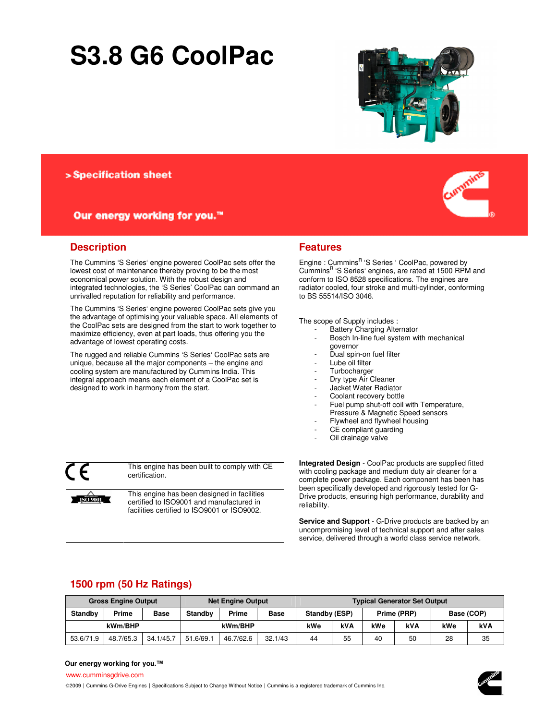# **S3.8 G6 CoolPac**



# > Specification sheet

# Our energy working for you.™



# **Description**

The Cummins 'S Series' engine powered CoolPac sets offer the lowest cost of maintenance thereby proving to be the most economical power solution. With the robust design and integrated technologies, the 'S Series' CoolPac can command an unrivalled reputation for reliability and performance.

The Cummins 'S Series' engine powered CoolPac sets give you the advantage of optimising your valuable space. All elements of the CoolPac sets are designed from the start to work together to maximize efficiency, even at part loads, thus offering you the advantage of lowest operating costs.

The rugged and reliable Cummins 'S Series' CoolPac sets are unique, because all the major components – the engine and cooling system are manufactured by Cummins India. This integral approach means each element of a CoolPac set is designed to work in harmony from the start.

This engine has been built to comply with CE

This engine has been designed in facilities certified to ISO9001 and manufactured in facilities certified to ISO9001 or ISO9002.

## **Features**

Engine : Cummins<sup>R</sup> 'S Series ' CoolPac, powered by Cummins<sup>R</sup> 'S Series' engines, are rated at 1500 RPM and conform to ISO 8528 specifications. The engines are radiator cooled, four stroke and multi-cylinder, conforming to BS 55514/ISO 3046.

The scope of Supply includes :

- Battery Charging Alternator
- Bosch In-line fuel system with mechanical governor
- Dual spin-on fuel filter
- Lube oil filter
- **Turbocharger**
- Dry type Air Cleaner
- Jacket Water Radiator
- Coolant recovery bottle
- Fuel pump shut-off coil with Temperature, Pressure & Magnetic Speed sensors
- Flywheel and flywheel housing
- CE compliant guarding
- Oil drainage valve

**Integrated Design** - CoolPac products are supplied fitted with cooling package and medium duty air cleaner for a complete power package. Each component has been has been specifically developed and rigorously tested for G-Drive products, ensuring high performance, durability and reliability.

**Service and Support** - G-Drive products are backed by an uncompromising level of technical support and after sales service, delivered through a world class service network.

# **1500 rpm (50 Hz Ratings)**

certification.

|                | <b>Gross Engine Output</b> |             |                | <b>Net Engine Output</b> |             | <b>Typical Generator Set Output</b> |     |             |     |            |    |
|----------------|----------------------------|-------------|----------------|--------------------------|-------------|-------------------------------------|-----|-------------|-----|------------|----|
| <b>Standby</b> | <b>Prime</b>               | <b>Base</b> | <b>Standby</b> | <b>Prime</b>             | <b>Base</b> | Standby (ESP)                       |     | Prime (PRP) |     | Base (COP) |    |
| kWm/BHP        |                            |             | kWm/BHP        |                          | kWe         | <b>kVA</b>                          | kWe | <b>kVA</b>  | kWe | <b>kVA</b> |    |
| 53.6/71.9      | 48.7/65.3                  | 34.1/45.7   | 51.6/69.       | 46.7/62.6                | 32.1/43     | 44                                  | 55  | 40          | 50  | 28         | 35 |

#### **Our energy working for you.™**

www.cumminsgdrive.com

**ISO 9001**